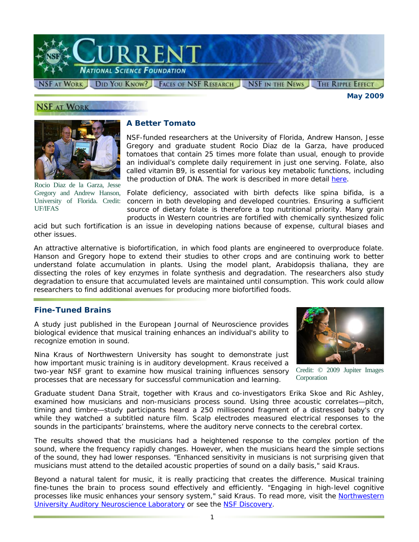

*May 2009* 

# **NSF AT WORK**



Rocio Diaz de la Garza, Jesse Gregory and Andrew Hanson, University of Florida. Credit: UF/IFAS

## **A Better Tomato**

NSF-funded researchers at the University of Florida, Andrew Hanson, Jesse Gregory and graduate student Rocio Diaz de la Garza, have produced tomatoes that contain 25 times more folate than usual, enough to provide an individual's complete daily requirement in just one serving. Folate, also called vitamin B9, is essential for various key metabolic functions, including the production of DNA. The work is described in more detail [here.](http://www.nsf.gov/awardsearch/showAward.do?AwardNumber=0443709)

Folate deficiency, associated with birth defects like spina bifida, is a concern in both developing and developed countries. Ensuring a sufficient source of dietary folate is therefore a top nutritional priority. Many grain products in Western countries are fortified with chemically synthesized folic

acid but such fortification is an issue in developing nations because of expense, cultural biases and other issues.

An attractive alternative is biofortification, in which food plants are engineered to overproduce folate. Hanson and Gregory hope to extend their studies to other crops and are continuing work to better understand folate accumulation in plants. Using the model plant, *Arabidopsis thaliana*, they are dissecting the roles of key enzymes in folate synthesis and degradation. The researchers also study degradation to ensure that accumulated levels are maintained until consumption. This work could allow researchers to find additional avenues for producing more biofortified foods.

#### **Fine-Tuned Brains**

A study just published in the *European Journal of Neuroscience* provides biological evidence that musical training enhances an individual's ability to recognize emotion in sound.

Nina Kraus of Northwestern University has sought to demonstrate just how important music training is in auditory development. Kraus received a two-year NSF grant to examine how musical training influences sensory processes that are necessary for successful communication and learning.



Credit: © 2009 Jupiter Images **Corporation** 

Graduate student Dana Strait, together with Kraus and co-investigators Erika Skoe and Ric Ashley, examined how musicians and non-musicians process sound. Using three acoustic correlates—pitch, timing and timbre—study participants heard a 250 millisecond fragment of a distressed baby's cry while they watched a subtitled nature film. Scalp electrodes measured electrical responses to the sounds in the participants' brainstems, where the auditory nerve connects to the cerebral cortex.

The results showed that the musicians had a heightened response to the complex portion of the sound, where the frequency rapidly changes. However, when the musicians heard the simple sections of the sound, they had lower responses. "Enhanced sensitivity in musicians is not surprising given that musicians must attend to the detailed acoustic properties of sound on a daily basis," said Kraus.

Beyond a natural talent for music, it is really practicing that creates the difference. Musical training fine-tunes the brain to process sound effectively and efficiently. "Engaging in high-level cognitive processes like music enhances your sensory system," said Kraus. To read more, visit the Northwestern [University Auditory Neuroscience Laboratory](http://www.nsf.gov/cgi-bin/goodbye?http://www.brainvolts.northwestern.edu) or see the [NSF Discovery](http://www.nsf.gov/discoveries/disc_summ.jsp?cntn_id=114576).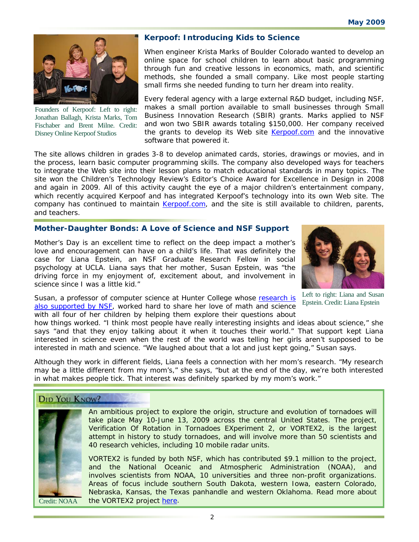

Founders of Kerpoof: Left to right: Jonathan Ballagh, Krista Marks, Tom Fischaber and Brent Milne. Credit: Disney Online Kerpoof Studios

# **Kerpoof: Introducing Kids to Science**

When engineer Krista Marks of Boulder Colorado wanted to develop an online space for school children to learn about basic programming through fun and creative lessons in economics, math, and scientific methods, she founded a small company. Like most people starting small firms she needed funding to turn her dream into reality.

Every federal agency with a large external R&D budget, including NSF, makes a small portion available to small businesses through Small Business Innovation Research (SBIR) grants. Marks applied to NSF and won two SBIR awards totaling \$150,000. Her company received the grants to develop its Web site [Kerpoof.com](http://www.nsf.gov/cgi-bin/goodbye?http://www.kerpoof.com/) and the innovative software that powered it.

The site allows children in grades 3-8 to develop animated cards, stories, drawings or movies, and in the process, learn basic computer programming skills. The company also developed ways for teachers to integrate the Web site into their lesson plans to match educational standards in many topics. The site won the *Children's Technology Review's Editor's Choice Award for Excellence in Design* in 2008 and again in 2009. All of this activity caught the eye of a major children's entertainment company, which recently acquired Kerpoof and has integrated Kerpoof's technology into its own Web site. The company has continued to maintain [Kerpoof.com,](http://www.nsf.gov/cgi-bin/goodbye?http://www.kerpoof.com/) and the site is still available to children, parents, and teachers.

#### **Mother-Daughter Bonds: A Love of Science and NSF Support**

Mother's Day is an excellent time to reflect on the deep impact a mother's love and encouragement can have on a child's life. That was definitely the case for Liana Epstein, an NSF Graduate Research Fellow in social psychology at UCLA. Liana says that her mother, Susan Epstein, was "the driving force in my enjoyment of, excitement about, and involvement in science since I was a little kid."



Left to right: Liana and Susan Epstein. Credit: Liana Epstein

Susan, a professor of computer science at Hunter College whose research is [also supported by NSF,](http://www.nsf.gov/awardsearch/showAward.do?AwardNumber=0744904) worked hard to share her love of math and science with all four of her children by helping them explore their questions about

how things worked. "I think most people have really interesting insights and ideas about science," she says "and that they enjoy talking about it when it touches their world." That support kept Liana interested in science even when the rest of the world was telling her girls aren't supposed to be interested in math and science. "We laughed about that a lot and just kept going," Susan says.

Although they work in different fields, Liana feels a connection with her mom's research. "My research may be a little different from my mom's," she says, "but at the end of the day, we're both interested in what makes people tick. That interest was definitely sparked by my mom's work."

## **DID YOU KNOW?**



An ambitious project to explore the origin, structure and evolution of tornadoes will take place May 10-June 13, 2009 across the central United States. The project, *Verification Of Rotation in Tornadoes EXperiment 2*, or VORTEX2, is the largest attempt in history to study tornadoes, and will involve more than 50 scientists and 40 research vehicles, including 10 mobile radar units.

VORTEX2 is funded by both NSF, which has contributed \$9.1 million to the project, and the National Oceanic and Atmospheric Administration (NOAA), and involves scientists from NOAA, 10 universities and three non-profit organizations. Areas of focus include southern South Dakota, western Iowa, eastern Colorado, Nebraska, Kansas, the Texas panhandle and western Oklahoma. Read more about Credit: NOAA the VORTEX2 project [here.](http://www.nsf.gov/news/news_summ.jsp?org=NSF&cntn_id=114491&preview=false)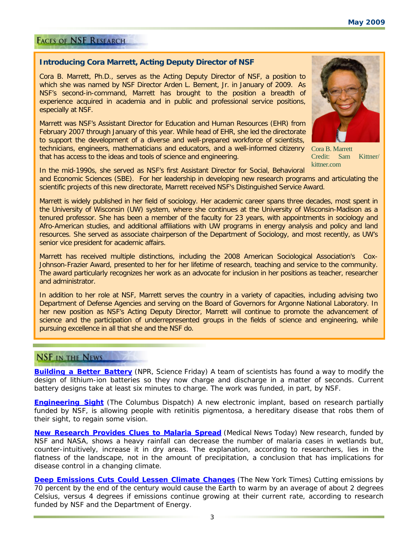# **FACES OF NSF RESEARCH**

#### **Introducing Cora Marrett, Acting Deputy Director of NSF**

Cora B. Marrett, Ph.D., serves as the Acting Deputy Director of NSF, a position to which she was named by NSF Director Arden L. Bement, Jr. in January of 2009. As NSF's second-in-command, Marrett has brought to the position a breadth of experience acquired in academia and in public and professional service positions, especially at NSF.

Marrett was NSF's Assistant Director for Education and Human Resources (EHR) from February 2007 through January of this year. While head of EHR, she led the directorate to support the development of a diverse and well-prepared workforce of scientists, technicians, engineers, mathematicians and educators, and a well-informed citizenry Cora B. Marrett that has access to the ideas and tools of science and engineering.



Credit: Sam Kittner/ kittner.com

In the mid-1990s, she served as NSF's first Assistant Director for Social, Behavioral and Economic Sciences (SBE). For her leadership in developing new research programs and articulating the scientific projects of this new directorate, Marrett received NSF's Distinguished Service Award.

Marrett is widely published in her field of sociology. Her academic career spans three decades, most spent in the University of Wisconsin (UW) system, where she continues at the University of Wisconsin-Madison as a tenured professor. She has been a member of the faculty for 23 years, with appointments in sociology and Afro-American studies, and additional affiliations with UW programs in energy analysis and policy and land resources. She served as associate chairperson of the Department of Sociology, and most recently, as UW's senior vice president for academic affairs.

Marrett has received multiple distinctions, including the 2008 American Sociological Association's Cox-Johnson-Frazier Award, presented to her for her lifetime of research, teaching and service to the community. The award particularly recognizes her work as an advocate for inclusion in her positions as teacher, researcher and administrator.

In addition to her role at NSF, Marrett serves the country in a variety of capacities, including advising two Department of Defense Agencies and serving on the Board of Governors for Argonne National Laboratory. In her new position as NSF's Acting Deputy Director, Marrett will continue to promote the advancement of science and the participation of underrepresented groups in the fields of science and engineering, while pursuing excellence in all that she and the NSF do.

## **NSF IN THE NEWS**

**[Building a Better Battery](http://www.nsf.gov/cgi-bin/goodbye?http://www.sciencefriday.com/program/archives/200903132)** *(NPR, Science Friday)* A team of scientists has found a way to modify the design of lithium-ion batteries so they now charge and discharge in a matter of seconds. Current battery designs take at least six minutes to charge. The work was funded, in part, by NSF.

**[Engineering Sight](http://www.nsf.gov/cgi-bin/goodbye?http://www.dispatch.com/live/content/science/stories/2009/03/22/sci_see.ART_ART_03-22-09_G1_B3D9GTR.html?type=rss&cat=&sid=101&title=Science%3A+Engineering+sight)** *(The Columbus Dispatch)* A new electronic implant, based on research partially funded by NSF, is allowing people with retinitis pigmentosa, a hereditary disease that robs them of their sight, to regain some vision.

**[New Research Provides Clues to Malaria Spread](http://www.nsf.gov/cgi-bin/goodbye?http://www.medicalnewstoday.com/articles/144577.php)** (*Medical News Today*) New research, funded by NSF and NASA, shows a heavy rainfall can decrease the number of malaria cases in wetlands but, counter-intuitively, increase it in dry areas. The explanation, according to researchers, lies in the flatness of the landscape, not in the amount of precipitation, a conclusion that has implications for disease control in a changing climate.

**[Deep Emissions Cuts Could Lessen Climate Changes](http://www.nsf.gov/cgi-bin/goodbye?http://www.nytimes.com/cwire/2009/04/15/15climatewire-deep-emissions-cuts-could-lessen-climate-cha-10535.html)** *(The New York Times)* Cutting emissions by 70 percent by the end of the century would cause the Earth to warm by an average of about 2 degrees Celsius, versus 4 degrees if emissions continue growing at their current rate, according to research funded by NSF and the Department of Energy.